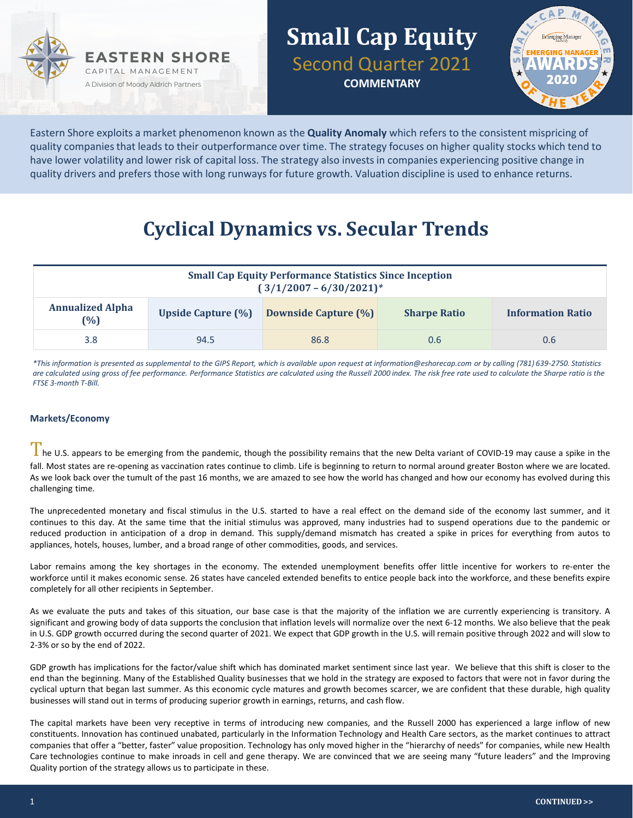



Eastern Shore exploits a market phenomenon known as the **Quality Anomaly** which refers to the consistent mispricing of quality companies that leads to their outperformance over time. The strategy focuses on higher quality stocks which tend to have lower volatility and lower risk of capital loss. The strategy also invests in companies experiencing positive change in quality drivers and prefers those with long runways for future growth. Valuation discipline is used to enhance returns.

## **Cyclical Dynamics vs. Secular Trends**

| <b>Small Cap Equity Performance Statistics Since Inception</b><br>$(3/1/2007 - 6/30/2021)^*$ |                           |                             |                     |                          |  |  |
|----------------------------------------------------------------------------------------------|---------------------------|-----------------------------|---------------------|--------------------------|--|--|
| <b>Annualized Alpha</b><br>$(\%)$                                                            | <b>Upside Capture (%)</b> | <b>Downside Capture (%)</b> | <b>Sharpe Ratio</b> | <b>Information Ratio</b> |  |  |
| 3.8                                                                                          | 94.5                      | 86.8                        | 0.6                 | 0.6                      |  |  |

*\*This information is presented as supplemental to the GIPS Report, which is available upon request at information@eshorecap.com or by calling (781) 639-2750. Statistics are calculated using gross of fee performance. Performance Statistics are calculated using the Russell 2000 index. The risk free rate used to calculate the Sharpe ratio is the FTSE 3-month T-Bill.*

#### **Markets/Economy**

The U.S. appears to be emerging from the pandemic, though the possibility remains that the new Delta variant of COVID-19 may cause a spike in the fall. Most states are re-opening as vaccination rates continue to climb. Life is beginning to return to normal around greater Boston where we are located. As we look back over the tumult of the past 16 months, we are amazed to see how the world has changed and how our economy has evolved during this challenging time.

The unprecedented monetary and fiscal stimulus in the U.S. started to have a real effect on the demand side of the economy last summer, and it continues to this day. At the same time that the initial stimulus was approved, many industries had to suspend operations due to the pandemic or reduced production in anticipation of a drop in demand. This supply/demand mismatch has created a spike in prices for everything from autos to appliances, hotels, houses, lumber, and a broad range of other commodities, goods, and services.

Labor remains among the key shortages in the economy. The extended unemployment benefits offer little incentive for workers to re-enter the workforce until it makes economic sense. 26 states have canceled extended benefits to entice people back into the workforce, and these benefits expire completely for all other recipients in September.

As we evaluate the puts and takes of this situation, our base case is that the majority of the inflation we are currently experiencing is transitory. A significant and growing body of data supports the conclusion that inflation levels will normalize over the next 6-12 months. We also believe that the peak in U.S. GDP growth occurred during the second quarter of 2021. We expect that GDP growth in the U.S. will remain positive through 2022 and will slow to 2-3% or so by the end of 2022.

GDP growth has implications for the factor/value shift which has dominated market sentiment since last year. We believe that this shift is closer to the end than the beginning. Many of the Established Quality businesses that we hold in the strategy are exposed to factors that were not in favor during the cyclical upturn that began last summer. As this economic cycle matures and growth becomes scarcer, we are confident that these durable, high quality businesses will stand out in terms of producing superior growth in earnings, returns, and cash flow.

The capital markets have been very receptive in terms of introducing new companies, and the Russell 2000 has experienced a large inflow of new constituents. Innovation has continued unabated, particularly in the Information Technology and Health Care sectors, as the market continues to attract companies that offer a "better, faster" value proposition. Technology has only moved higher in the "hierarchy of needs" for companies, while new Health Care technologies continue to make inroads in cell and gene therapy. We are convinced that we are seeing many "future leaders" and the Improving Quality portion of the strategy allows us to participate in these.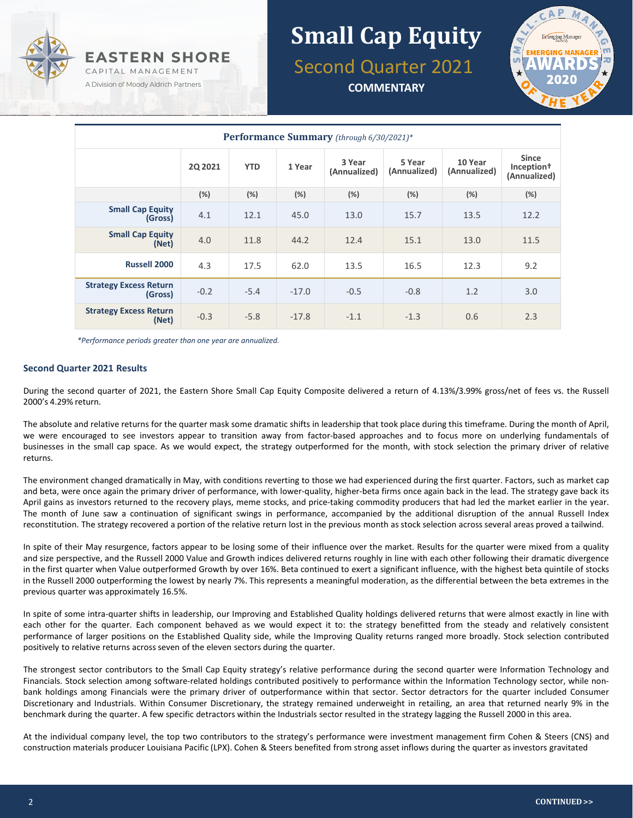

# **Small Cap Equity** Second Quarter 2021

**COMMENTARY**



| <b>Performance Summary</b> (through 6/30/2021)* |                |            |         |                        |                        |                         |                                                        |  |
|-------------------------------------------------|----------------|------------|---------|------------------------|------------------------|-------------------------|--------------------------------------------------------|--|
|                                                 | <b>2Q 2021</b> | <b>YTD</b> | 1 Year  | 3 Year<br>(Annualized) | 5 Year<br>(Annualized) | 10 Year<br>(Annualized) | <b>Since</b><br>Inception <sup>†</sup><br>(Annualized) |  |
|                                                 | (%)            | (%)        | (%)     | (%)                    | (%)                    | (%)                     | (%)                                                    |  |
| <b>Small Cap Equity</b><br>(Gross)              | 4.1            | 12.1       | 45.0    | 13.0                   | 15.7                   | 13.5                    | 12.2                                                   |  |
| <b>Small Cap Equity</b><br>(Net)                | 4.0            | 11.8       | 44.2    | 12.4                   | 15.1                   | 13.0                    | 11.5                                                   |  |
| <b>Russell 2000</b>                             | 4.3            | 17.5       | 62.0    | 13.5                   | 16.5                   | 12.3                    | 9.2                                                    |  |
| <b>Strategy Excess Return</b><br>(Gross)        | $-0.2$         | $-5.4$     | $-17.0$ | $-0.5$                 | $-0.8$                 | 1.2                     | 3.0                                                    |  |
| <b>Strategy Excess Return</b><br>(Net)          | $-0.3$         | $-5.8$     | $-17.8$ | $-1.1$                 | $-1.3$                 | 0.6                     | 2.3                                                    |  |

*\*Performance periods greater than one year are annualized.*

#### **Second Quarter 2021 Results**

During the second quarter of 2021, the Eastern Shore Small Cap Equity Composite delivered a return of 4.13%/3.99% gross/net of fees vs. the Russell 2000's 4.29% return.

The absolute and relative returns for the quarter mask some dramatic shifts in leadership that took place during this timeframe. During the month of April, we were encouraged to see investors appear to transition away from factor-based approaches and to focus more on underlying fundamentals of businesses in the small cap space. As we would expect, the strategy outperformed for the month, with stock selection the primary driver of relative returns.

The environment changed dramatically in May, with conditions reverting to those we had experienced during the first quarter. Factors, such as market cap and beta, were once again the primary driver of performance, with lower-quality, higher-beta firms once again back in the lead. The strategy gave back its April gains as investors returned to the recovery plays, meme stocks, and price-taking commodity producers that had led the market earlier in the year. The month of June saw a continuation of significant swings in performance, accompanied by the additional disruption of the annual Russell Index reconstitution. The strategy recovered a portion of the relative return lost in the previous month as stock selection across several areas proved a tailwind.

In spite of their May resurgence, factors appear to be losing some of their influence over the market. Results for the quarter were mixed from a quality and size perspective, and the Russell 2000 Value and Growth indices delivered returns roughly in line with each other following their dramatic divergence in the first quarter when Value outperformed Growth by over 16%. Beta continued to exert a significant influence, with the highest beta quintile of stocks in the Russell 2000 outperforming the lowest by nearly 7%. This represents a meaningful moderation, as the differential between the beta extremes in the previous quarter was approximately 16.5%.

In spite of some intra-quarter shifts in leadership, our Improving and Established Quality holdings delivered returns that were almost exactly in line with each other for the quarter. Each component behaved as we would expect it to: the strategy benefitted from the steady and relatively consistent performance of larger positions on the Established Quality side, while the Improving Quality returns ranged more broadly. Stock selection contributed positively to relative returns across seven of the eleven sectors during the quarter.

The strongest sector contributors to the Small Cap Equity strategy's relative performance during the second quarter were Information Technology and Financials. Stock selection among software-related holdings contributed positively to performance within the Information Technology sector, while nonbank holdings among Financials were the primary driver of outperformance within that sector. Sector detractors for the quarter included Consumer Discretionary and Industrials. Within Consumer Discretionary, the strategy remained underweight in retailing, an area that returned nearly 9% in the benchmark during the quarter. A few specific detractors within the Industrials sector resulted in the strategy lagging the Russell 2000 in this area.

At the individual company level, the top two contributors to the strategy's performance were investment management firm Cohen & Steers (CNS) and construction materials producer Louisiana Pacific (LPX). Cohen & Steers benefited from strong asset inflows during the quarter as investors gravitated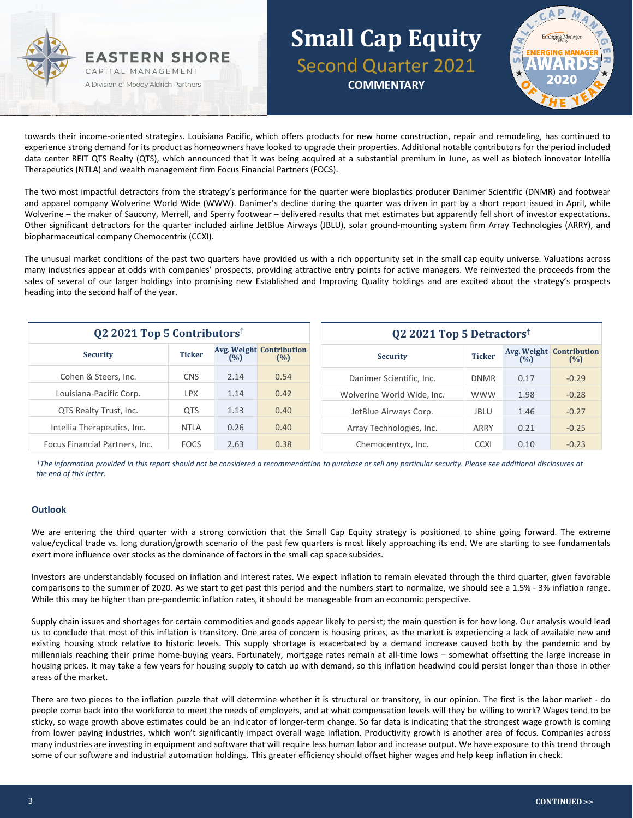



towards their income-oriented strategies. Louisiana Pacific, which offers products for new home construction, repair and remodeling, has continued to experience strong demand for its product as homeowners have looked to upgrade their properties. Additional notable contributors for the period included data center REIT QTS Realty (QTS), which announced that it was being acquired at a substantial premium in June, as well as biotech innovator Intellia Therapeutics (NTLA) and wealth management firm Focus Financial Partners (FOCS).

The two most impactful detractors from the strategy's performance for the quarter were bioplastics producer Danimer Scientific (DNMR) and footwear and apparel company Wolverine World Wide (WWW). Danimer's decline during the quarter was driven in part by a short report issued in April, while Wolverine – the maker of Saucony, Merrell, and Sperry footwear – delivered results that met estimates but apparently fell short of investor expectations. Other significant detractors for the quarter included airline JetBlue Airways (JBLU), solar ground-mounting system firm Array Technologies (ARRY), and biopharmaceutical company Chemocentrix (CCXI).

The unusual market conditions of the past two quarters have provided us with a rich opportunity set in the small cap equity universe. Valuations across many industries appear at odds with companies' prospects, providing attractive entry points for active managers. We reinvested the proceeds from the sales of several of our larger holdings into promising new Established and Improving Quality holdings and are excited about the strategy's prospects heading into the second half of the year.

| Q2 2021 Top 5 Contributors <sup>†</sup> |               |      | Q2 2021 Top 5 Detractors <sup>†</sup>  |                            |               |      |                                        |
|-----------------------------------------|---------------|------|----------------------------------------|----------------------------|---------------|------|----------------------------------------|
| <b>Security</b>                         | <b>Ticker</b> | (%)  | <b>Avg. Weight Contribution</b><br>(%) | <b>Security</b>            | <b>Ticker</b> | (%)  | <b>Avg. Weight Contribution</b><br>(%) |
| Cohen & Steers, Inc.                    | <b>CNS</b>    | 2.14 | 0.54                                   | Danimer Scientific, Inc.   | <b>DNMR</b>   | 0.17 | $-0.29$                                |
| Louisiana-Pacific Corp.                 | <b>LPX</b>    | 1.14 | 0.42                                   | Wolverine World Wide, Inc. | <b>WWW</b>    | 1.98 | $-0.28$                                |
| QTS Realty Trust, Inc.                  | <b>QTS</b>    | 1.13 | 0.40                                   | JetBlue Airways Corp.      | <b>JBLU</b>   | 1.46 | $-0.27$                                |
| Intellia Therapeutics, Inc.             | <b>NTLA</b>   | 0.26 | 0.40                                   | Array Technologies, Inc.   | ARRY          | 0.21 | $-0.25$                                |
| Focus Financial Partners, Inc.          | <b>FOCS</b>   | 2.63 | 0.38                                   | Chemocentryx, Inc.         | <b>CCXI</b>   | 0.10 | $-0.23$                                |

*†The information provided in this report should not be considered a recommendation to purchase or sell any particular security. Please see additional disclosures at the end of this letter.*

#### **Outlook**

We are entering the third quarter with a strong conviction that the Small Cap Equity strategy is positioned to shine going forward. The extreme value/cyclical trade vs. long duration/growth scenario of the past few quarters is most likely approaching its end. We are starting to see fundamentals exert more influence over stocks as the dominance of factors in the small cap space subsides.

Investors are understandably focused on inflation and interest rates. We expect inflation to remain elevated through the third quarter, given favorable comparisons to the summer of 2020. As we start to get past this period and the numbers start to normalize, we should see a 1.5% - 3% inflation range. While this may be higher than pre-pandemic inflation rates, it should be manageable from an economic perspective.

Supply chain issues and shortages for certain commodities and goods appear likely to persist; the main question is for how long. Our analysis would lead us to conclude that most of this inflation is transitory. One area of concern is housing prices, as the market is experiencing a lack of available new and existing housing stock relative to historic levels. This supply shortage is exacerbated by a demand increase caused both by the pandemic and by millennials reaching their prime home-buying years. Fortunately, mortgage rates remain at all-time lows – somewhat offsetting the large increase in housing prices. It may take a few years for housing supply to catch up with demand, so this inflation headwind could persist longer than those in other areas of the market.

There are two pieces to the inflation puzzle that will determine whether it is structural or transitory, in our opinion. The first is the labor market - do people come back into the workforce to meet the needs of employers, and at what compensation levels will they be willing to work? Wages tend to be sticky, so wage growth above estimates could be an indicator of longer-term change. So far data is indicating that the strongest wage growth is coming from lower paying industries, which won't significantly impact overall wage inflation. Productivity growth is another area of focus. Companies across many industries are investing in equipment and software that will require less human labor and increase output. We have exposure to this trend through some of our software and industrial automation holdings. This greater efficiency should offset higher wages and help keep inflation in check.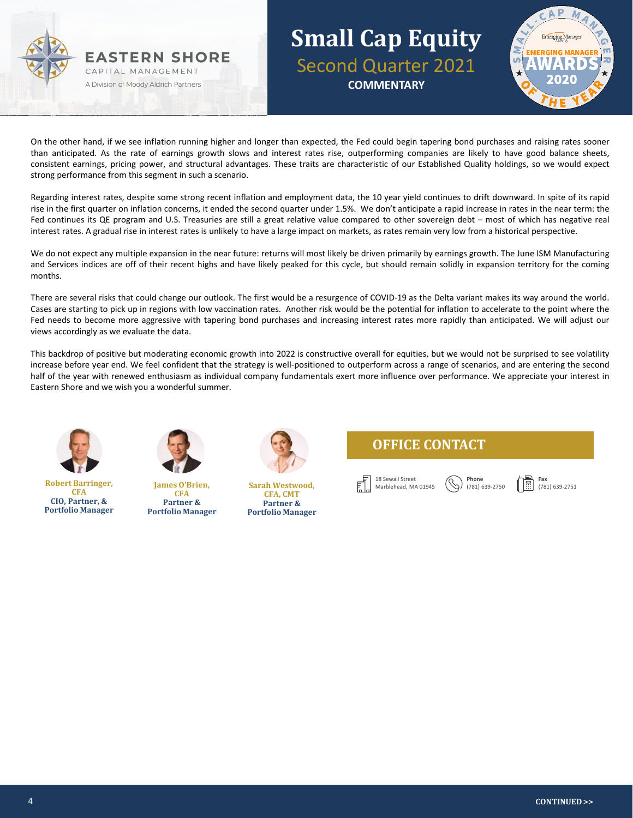



On the other hand, if we see inflation running higher and longer than expected, the Fed could begin tapering bond purchases and raising rates sooner than anticipated. As the rate of earnings growth slows and interest rates rise, outperforming companies are likely to have good balance sheets, consistent earnings, pricing power, and structural advantages. These traits are characteristic of our Established Quality holdings, so we would expect strong performance from this segment in such a scenario.

Regarding interest rates, despite some strong recent inflation and employment data, the 10 year yield continues to drift downward. In spite of its rapid rise in the first quarter on inflation concerns, it ended the second quarter under 1.5%. We don't anticipate a rapid increase in rates in the near term: the Fed continues its QE program and U.S. Treasuries are still a great relative value compared to other sovereign debt – most of which has negative real interest rates. A gradual rise in interest rates is unlikely to have a large impact on markets, as rates remain very low from a historical perspective.

We do not expect any multiple expansion in the near future: returns will most likely be driven primarily by earnings growth. The June ISM Manufacturing and Services indices are off of their recent highs and have likely peaked for this cycle, but should remain solidly in expansion territory for the coming months.

There are several risks that could change our outlook. The first would be a resurgence of COVID-19 as the Delta variant makes its way around the world. Cases are starting to pick up in regions with low vaccination rates. Another risk would be the potential for inflation to accelerate to the point where the Fed needs to become more aggressive with tapering bond purchases and increasing interest rates more rapidly than anticipated. We will adjust our views accordingly as we evaluate the data.

This backdrop of positive but moderating economic growth into 2022 is constructive overall for equities, but we would not be surprised to see volatility increase before year end. We feel confident that the strategy is well-positioned to outperform across a range of scenarios, and are entering the second half of the year with renewed enthusiasm as individual company fundamentals exert more influence over performance. We appreciate your interest in Eastern Shore and we wish you a wonderful summer.



**Robert Barringer, CFA CIO, Partner, & Portfolio Manager**



**James O'Brien, CFA Partner & Portfolio Manager**



**Sarah Westwood, CFA, CMT Partner & Portfolio Manager**





**Phone** (781) 639-2750 **Fax** (781) 639-2751